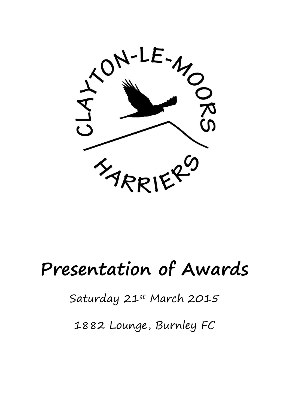

# **Presentation of Awards**

## Saturday 21st March 2015

1882 Lounge, Burnley FC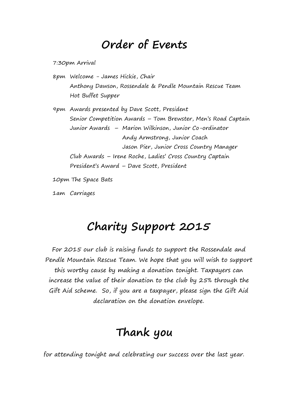### **Order of Events**

7:30pm Arrival

8pm Welcome - James Hickie, Chair Anthony Dawson, Rossendale & Pendle Mountain Rescue Team Hot Buffet Supper

9pm Awards presented by Dave Scott, President Senior Competition Awards – Tom Brewster, Men's Road Captain Junior Awards – Marion Wilkinson, Junior Co-ordinator Andy Armstrong, Junior Coach Jason Pier, Junior Cross Country Manager Club Awards – Irene Roche, Ladies' Cross Country Captain President's Award – Dave Scott, President

10pm The Space Bats

1am Carriages

## **Charity Support 2015**

For 2015 our club is raising funds to support the Rossendale and Pendle Mountain Rescue Team. We hope that you will wish to support this worthy cause by making a donation tonight. Taxpayers can increase the value of their donation to the club by 25% through the Gift Aid scheme. So, if you are a taxpayer, please sign the Gift Aid declaration on the donation envelope.

#### **Thank you**

for attending tonight and celebrating our success over the last year.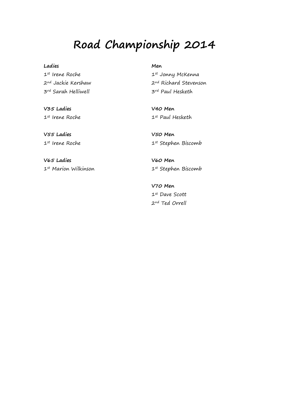## **Road Championship 2014**

#### **Ladies Men**

1st Irene Roche 1st Jonny McKenna 3rd Sarah Helliwell 3rd Paul Hesketh

2nd Jackie Kershaw 2nd Richard Stevenson

**V35 Ladies V40 Men**

 $1^{st}$  Irene Roche 1st Paul Hesketh

**V55 Ladies V50 Men**

1st Irene Roche 1st Stephen Biscomb

1st Marion Wilkinson 1st Stephen Biscomb

**V70 Men** 1st Dave Scott 2nd Ted Orrell

**V65 Ladies V60 Men**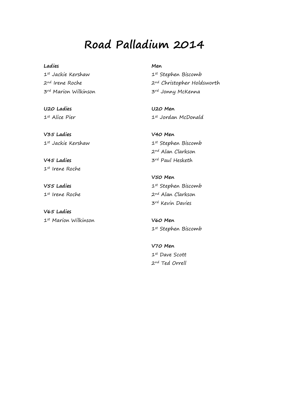## **Road Palladium 2014**

#### **Ladies Men**

3rd Marion Wilkinson 3rd Jonny McKenna

**V35 Ladies V40 Men**

1st Irene Roche

**V65 Ladies** 1st Marion Wilkinson **V60 Men**

1st Jackie Kershaw 1st Stephen Biscomb 2nd Irene Roche 2nd Christopher Holdsworth

**U20 Ladies U20 Men** 1st Alice Pier 1st Jordan McDonald

1st Jackie Kershaw 1st Stephen Biscomb 2nd Alan Clarkson **V45 Ladies** 3rd Paul Hesketh

**V50 Men V55 Ladies** 2st Stephen Biscomb 1st Irene Roche 2<sup>nd</sup> Alan Clarkson 3rd Kevin Davies

1st Stephen Biscomb

**V70 Men** 1st Dave Scott 2nd Ted Orrell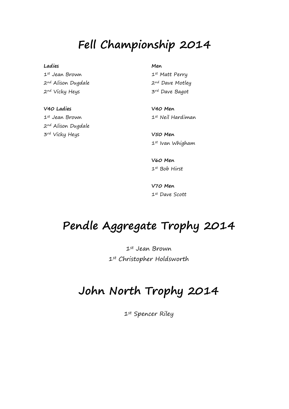## **Fell Championship 2014**

#### **Ladies Men**

1st Jean Brown 1st Matt Perry  $2^{nd}$  Alison Dugdale 2<sup>nd</sup> Dave Motley 2<sup>nd</sup> Vicky Heys 3rd Dave Bagot

2<sup>nd</sup> Alison Dugdale

**V40 Ladies V40 Men** 1st Jean Brown 1st Neil Hardiman

3rd Vicky Heys **V50 Men**  $1^{st}$  Ivan Whigham

> **V60 Men** 1st Bob Hirst

**V70 Men** 1st Dave Scott

## **Pendle Aggregate Trophy 2014**

1st Jean Brown 1st Christopher Holdsworth

## **John North Trophy 2014**

 $1^{st}$  Spencer Riley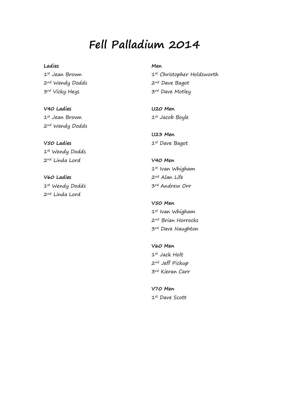## **Fell Palladium 2014**

#### **Ladies Men**

2<sup>nd</sup> Wendy Dodds 2<sup>nd</sup> Dave Bagot 3rd Vicky Heys 3rd Dave Motley

**V40 Ladies U20 Men**  $1^{st}$  Jean Brown  $1^{st}$  Jacob Boyle 2nd Wendy Dodds

1st Wendy Dodds 2nd Linda Lord **V40 Men**

1st Wendy Dodds 3rd Andrew Orr 2nd Linda Lord

 $1^{st}$  Jean Brown 1st Christopher Holdsworth

**U23 Men V50 Ladies 1st Dave Bagot** 

1st Ivan Whigham **V60 Ladies** 2<sup>nd</sup> Alan Life

> **V50 Men** st Ivan Whigham nd Brian Horrocks rd Dave Naughton

**V60 Men** st Jack Holt nd Jeff Pickup rd Kieran Carr

**V70 Men** 1st Dave Scott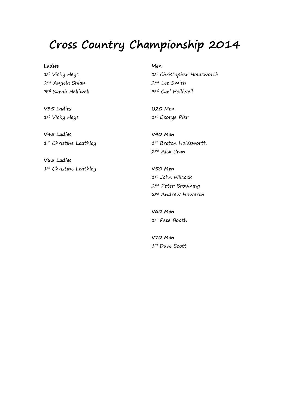## **Cross Country Championship 2014**

#### Ladies Men **Men**

 $2^{nd}$  Angela Shian 2<sup>nd</sup> Lee Smith 3rd Sarah Helliwell 3rd Carl Helliwell

**V35 Ladies U20 Men**

**V45 Ladies V40 Men**

**V65 Ladies** 1st Christine Leathley **V50 Men**

1st Vicky Heys 2st Christopher Holdsworth

1st Vicky Heys 1st George Pier

1st Christine Leathley 1st Breton Holdsworth 2nd Alex Cran

> 1st John Wilcock 2<sup>nd</sup> Peter Browning 2<sup>nd</sup> Andrew Howarth

**V60 Men** 1st Pete Booth

**V70 Men** 1st Dave Scott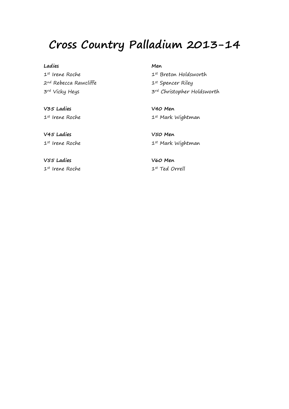## **Cross Country Palladium 2013-14**

#### **Ladies Men**

 $2^{nd}$  Rebecca Rawcliffe  $1^{st}$  Spencer Riley

 $1^{st}$  Irene Roche 1st Breton Holdsworth 3rd Vicky Heys 3rd Christopher Holdsworth

**V35 Ladies V40 Men**

1st Irene Roche 1st Mark Wightman

**V45 Ladies V50 Men**

1st Irene Roche 1st Mark Wightman

**V55 Ladies V60 Men** 1st Irene Roche 1st Ted Orrell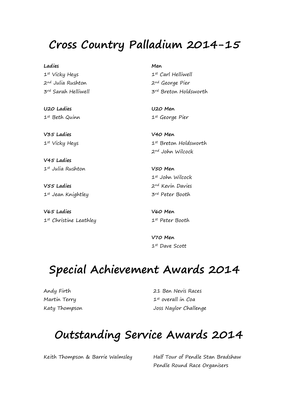### **Cross Country Palladium 2014-15**

#### **Ladies Men**

2nd Julia Rushton 2nd George Pier 3rd Sarah Helliwell 3rd Breton Holdsworth

**U20 Ladies U20 Men**

**V35 Ladies V40 Men**

**V45 Ladies** 1st Julia Rushton **V50 Men**

1<sup>st</sup> Jean Knightley 3rd Peter Booth

**V65 Ladies V60 Men** 1st Christine Leathley 1st Peter Booth

 $1^{st}$  Vicky Heys 2st Carl Helliwell

1st Beth Quinn 1st George Pier

1st Vicky Heys 2st Breton Holdsworth 2nd John Wilcock

1st John Wilcock **V55 Ladies** 2<sup>nd</sup> Kevin Davies

**V70 Men** 1st Dave Scott

## **Special Achievement Awards 2014**

Andy Firth 21 Ben Nevis Races Martin Terry  $1^{st}$  overall in Coa Katy Thompson **Gallenge** Joss Naylor Challenge

### **Outstanding Service Awards 2014**

Keith Thompson & Barrie Walmsley Half Tour of Pendle Stan Bradshaw Pendle Round Race Organisers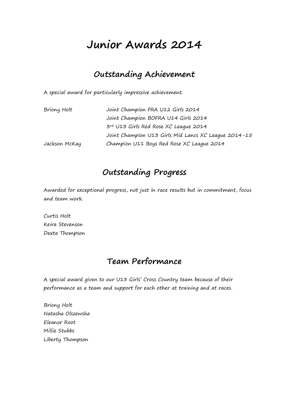## **Junior Awards 2014**

#### **Outstanding Achievement**

A special award for particularly impressive achievement.

| Joint Champion FRA U12 Girls 2014                    |
|------------------------------------------------------|
| Joint Champion BOFRA U14 Girls 2014                  |
| 3rd U13 Girls Red Rose XC League 2014                |
| Joint Champion U13 Girls Mid Lancs XC League 2014-15 |
| Champion U11 Boys Red Rose XC League 2014            |
|                                                      |

#### **Outstanding Progress**

Awarded for exceptional progress, not just in race results but in commitment, focus and team work.

Curtis Holt Keira Stevenson Dexta Thompson

#### **Team Performance**

A special award given to our U13 Girls' Cross Country team because of their performance as a team and support for each other at training and at races.

Briony Holt Natasha Olszewska Eleanor Root Millie Stubbs Liberty Thompson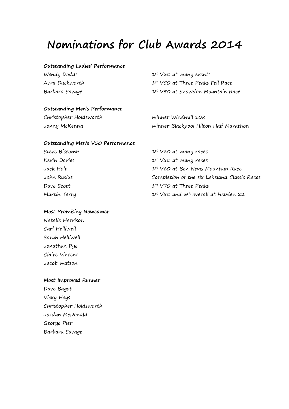### **Nominations for Club Awards 2014**

#### **Outstanding Ladies' Performance**

| Wendy Dodds     | $1^{st}$ V60 at many events           |
|-----------------|---------------------------------------|
| Avril Duckworth | $1^{st}$ V50 at Three Peaks Fell Race |
| Barbara Savage  | 1st V50 at Snowdon Mountain Race      |

#### **Outstanding Men's Performance**

Christopher Holdsworth Winner Windmill 10k

Jonny McKenna Winner Blackpool Hilton Half Marathon

| Outstanding Men's V50 Performance |                                                       |
|-----------------------------------|-------------------------------------------------------|
| Steve Biscomb                     | $1^{st}$ V60 at many races                            |
| Kevin Davies                      | $1^{st}$ V50 at many races                            |
| Jack Holt                         | 1st V60 at Ben Nevis Mountain Race                    |
| John Rusius                       | Completion of the six Lakeland Classic Races          |
| Dave Scott                        | $1^{st}$ V70 at Three Peaks                           |
| Martin Terry                      | $1^{st}$ V50 and 6 <sup>th</sup> overall at Hebden 22 |

#### **Most Promising Newcomer**

Natalie Harrison Carl Helliwell Sarah Helliwell Jonathan Pye Claire Vincent Jacob Watson

#### **Most Improved Runner**

Dave Bagot Vicky Heys Christopher Holdsworth Jordan McDonald George Pier Barbara Savage